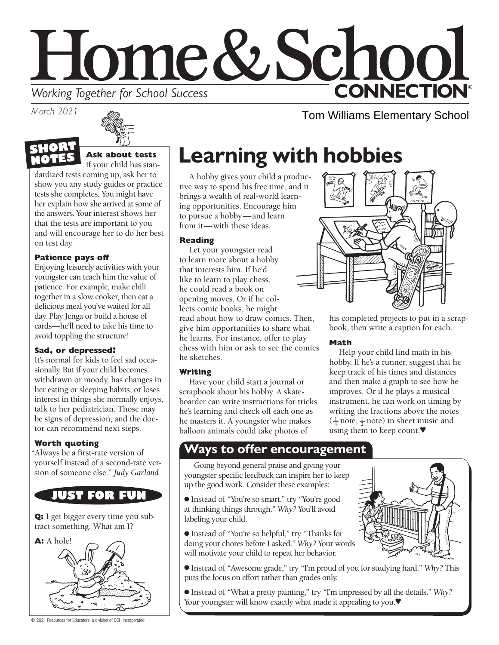# Home&Schoo **CONNECTION® Working Together for School Success**

*March 2021*



## **Ask about tests**

If your child has standardized tests coming up, ask her to show you any study guides or practice tests she completes. You might have her explain how she arrived at some of the answers. Your interest shows her that the tests are important to you and will encourage her to do her best on test day.

## **Patience pays off**

Enjoying leisurely activities with your youngster can teach him the value of patience. For example, make chili together in a slow cooker, then eat a delicious meal you've waited for all day. Play Jenga or build a house of cards—he'll need to take his time to avoid toppling the structure!

## **Sad, or depressed?**

It's normal for kids to feel sad occasionally. But if your child becomes withdrawn or moody, has changes in her eating or sleeping habits, or loses interest in things she normally enjoys, talk to her pediatrician. Those may be signs of depression, and the doctor can recommend next steps.

## **Worth quoting**

"Always be a first-rate version of yourself instead of a second-rate version of someone else." *Judy Garland*



**Q:** I get bigger every time you subtract something. What am I?



© 2021 Resources for Educators, a division of CCH Incorporated

# **Learning with hobbies**

A hobby gives your child a productive way to spend his free time, and it brings a wealth of real-world learning opportunities. Encourage him to pursue a hobby—and learn from it—with these ideas.

### **Reading**

Let your youngster read to learn more about a hobby that interests him. If he'd like to learn to play chess, he could read a book on opening moves. Or if he collects comic books, he might read about how to draw comics. Then, give him opportunities to share what he learns. For instance, offer to play chess with him or ask to see the comics he sketches.

### **Writing**

Have your child start a journal or scrapbook about his hobby. A skateboarder can write instructions for tricks he's learning and check off each one as he masters it. A youngster who makes balloon animals could take photos of



Tom Williams Elementary School

his completed projects to put in a scrapbook, then write a caption for each.

## **Math**

Help your child find math in his hobby. If he's a runner, suggest that he keep track of his times and distances and then make a graph to see how he improves. Or if he plays a musical instrument, he can work on timing by writing the fractions above the notes  $(\frac{1}{4} \text{ note}, \frac{1}{2} \text{ note})$  in sheet music and using them to keep count.♥

## **Ways to offer encouragement**

Going beyond general praise and giving your youngster specific feedback can inspire her to keep up the good work. Consider these examples:

● Instead of "You're so smart," try "You're good at thinking things through." *Why?* You'll avoid labeling your child.

● Instead of "You're so helpful," try "Thanks for doing your chores before I asked." *Why?* Your words will motivate your child to repeat her behavior.

● Instead of "Awesome grade," try "I'm proud of you for studying hard." *Why?* This puts the focus on effort rather than grades only.

● Instead of "What a pretty painting," try "I'm impressed by all the details." *Why?* Your youngster will know exactly what made it appealing to you.